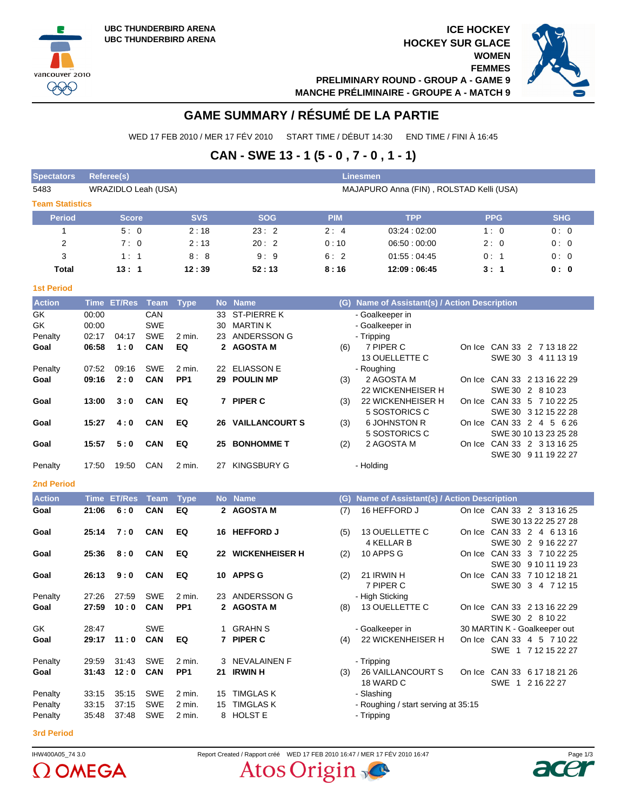vancouver 2010  $QQQ$ 

**ICE HOCKEY HOCKEY SUR GLACE WOMEN FEMMES PRELIMINARY ROUND - GROUP A - GAME 9 MANCHE PRÉLIMINAIRE - GROUPE A - MATCH 9**



## **GAME SUMMARY / RÉSUMÉ DE LA PARTIE**

WED 17 FEB 2010 / MER 17 FÉV 2010 START TIME / DÉBUT 14:30 END TIME / FINI À 16:45

## **CAN - SWE 13 - 1 (5 - 0 , 7 - 0 , 1 - 1)**

| <b>Spectators</b>      | Referee(s)<br><b>Linesmen</b> |                  |                     |                 |              |                               |            |                                               |  |            |                                                  |  |  |  |
|------------------------|-------------------------------|------------------|---------------------|-----------------|--------------|-------------------------------|------------|-----------------------------------------------|--|------------|--------------------------------------------------|--|--|--|
| 5483                   |                               |                  | WRAZIDLO Leah (USA) |                 |              |                               |            | MAJAPURO Anna (FIN), ROLSTAD Kelli (USA)      |  |            |                                                  |  |  |  |
| <b>Team Statistics</b> |                               |                  |                     |                 |              |                               |            |                                               |  |            |                                                  |  |  |  |
| <b>Period</b>          |                               | <b>Score</b>     |                     | <b>SVS</b>      |              | <b>SOG</b>                    | <b>PIM</b> | <b>TPP</b>                                    |  | <b>PPG</b> | <b>SHG</b>                                       |  |  |  |
| $\mathbf{1}$           |                               | 5:0              |                     | 2:18            |              | 23:2                          | 2:4        | 03:24:02:00                                   |  | 1:0        | 0:0                                              |  |  |  |
| 2                      |                               | 7:0              |                     | 2:13            |              | 20:2                          | 0:10       | 06:50:00:00                                   |  | 2:0        | 0:0                                              |  |  |  |
| 3                      |                               | 1:1              |                     | 8:8             |              | 9:9                           | 6:2        | 01:55:04:45                                   |  | 0:1        | 0:0                                              |  |  |  |
| <b>Total</b>           |                               | 13:1             |                     | 12:39           |              | 52:13                         | 8:16       | 12:09:06:45                                   |  | 3:1        | 0: 0                                             |  |  |  |
| <b>1st Period</b>      |                               |                  |                     |                 |              |                               |            |                                               |  |            |                                                  |  |  |  |
| <b>Action</b>          |                               | Time ET/Res Team |                     | <b>Type</b>     |              | No Name                       |            | (G) Name of Assistant(s) / Action Description |  |            |                                                  |  |  |  |
| GK                     | 00:00                         |                  | CAN                 |                 | 33           | <b>ST-PIERRE K</b>            |            | - Goalkeeper in                               |  |            |                                                  |  |  |  |
| GK                     | 00:00                         |                  | <b>SWE</b>          |                 | 30           | <b>MARTIN K</b>               |            | - Goalkeeper in                               |  |            |                                                  |  |  |  |
| Penalty                | 02:17                         | 04:17            | SWE                 | 2 min.          |              | 23 ANDERSSON G                |            | - Tripping                                    |  |            |                                                  |  |  |  |
| Goal                   | 06:58                         | 1:0              | <b>CAN</b>          | EQ              | $\mathbf{2}$ | <b>AGOSTA M</b>               | (6)        | 7 PIPER C                                     |  |            | On Ice CAN 33 2 7 13 18 22                       |  |  |  |
|                        |                               |                  |                     |                 |              |                               |            | 13 OUELLETTE C                                |  |            | SWE 30 3 4 11 13 19                              |  |  |  |
| Penalty                | 07:52                         | 09:16<br>2:0     | <b>SWE</b>          | 2 min.          |              | 22 ELIASSON E<br>29 POULIN MP |            | - Roughing                                    |  |            |                                                  |  |  |  |
| Goal                   | 09:16                         |                  | <b>CAN</b>          | PP <sub>1</sub> |              |                               | (3)        | 2 AGOSTA M<br>22 WICKENHEISER H               |  |            | On Ice CAN 33 2 13 16 22 29<br>SWE 30 2 8 10 23  |  |  |  |
| Goal                   | 13:00                         | 3:0              | <b>CAN</b>          | EQ              |              | 7 PIPER C                     | (3)        | 22 WICKENHEISER H                             |  |            | On Ice CAN 33 5 7 10 22 25                       |  |  |  |
|                        |                               |                  |                     |                 |              |                               |            | 5 SOSTORICS C                                 |  |            | SWE 30 3 12 15 22 28                             |  |  |  |
| Goal                   | 15:27                         | 4:0              | <b>CAN</b>          | EQ              |              | <b>26 VAILLANCOURT S</b>      | (3)        | <b>6 JOHNSTON R</b>                           |  |            | On Ice CAN 33 2 4 5 6 26                         |  |  |  |
|                        |                               |                  |                     |                 |              |                               |            | 5 SOSTORICS C                                 |  |            | SWE 30 10 13 23 25 28                            |  |  |  |
| Goal                   | 15:57                         | 5:0              | <b>CAN</b>          | EQ              | 25           | <b>BONHOMME T</b>             | (2)        | 2 AGOSTA M                                    |  |            | On Ice CAN 33 2 3 13 16 25                       |  |  |  |
|                        |                               |                  |                     |                 |              |                               |            |                                               |  |            | SWE 30 9 11 19 22 27                             |  |  |  |
| Penalty                | 17:50                         | 19:50            | CAN                 | 2 min.          |              | 27 KINGSBURY G                |            | - Holding                                     |  |            |                                                  |  |  |  |
| <b>2nd Period</b>      |                               |                  |                     |                 |              |                               |            |                                               |  |            |                                                  |  |  |  |
| <b>Action</b>          | <b>Time</b>                   | <b>ET/Res</b>    | <b>Team</b>         | <b>Type</b>     |              | No Name                       | (G)        | Name of Assistant(s) / Action Description     |  |            |                                                  |  |  |  |
| Goal                   | 21:06                         | 6:0              | CAN                 | EQ              |              | 2 AGOSTA M                    | (7)        | 16 HEFFORD J                                  |  |            | On Ice CAN 33 2 3 13 16 25                       |  |  |  |
|                        |                               |                  |                     |                 |              |                               |            |                                               |  |            | SWE 30 13 22 25 27 28                            |  |  |  |
| Goal                   | 25:14                         | 7:0              | <b>CAN</b>          | EQ              |              | 16 HEFFORD J                  | (5)        | 13 OUELLETTE C<br><b>4 KELLAR B</b>           |  |            | On Ice CAN 33 2 4 6 13 16<br>SWE 30 2 9 16 22 27 |  |  |  |
| Goal                   | 25:36                         | 8:0              | <b>CAN</b>          | EQ              |              | 22 WICKENHEISER H             | (2)        | 10 APPS G                                     |  |            | On Ice CAN 33 3 7 10 22 25                       |  |  |  |
|                        |                               |                  |                     |                 |              |                               |            |                                               |  |            | SWE 30 9 10 11 19 23                             |  |  |  |
| Goal                   | 26:13                         | 9:0              | <b>CAN</b>          | EQ              | 10           | <b>APPS G</b>                 | (2)        | 21 IRWIN H                                    |  |            | On Ice CAN 33 7 10 12 18 21                      |  |  |  |
|                        |                               |                  |                     |                 |              |                               |            | 7 PIPER C                                     |  |            | SWE 30 3 4 7 12 15                               |  |  |  |
| Penalty                | 27:26                         | 27:59            | <b>SWE</b>          | 2 min.          |              | 23 ANDERSSON G                |            | - High Sticking                               |  |            |                                                  |  |  |  |
| Goal                   | 27:59                         | 10:0             | <b>CAN</b>          | PP <sub>1</sub> |              | 2 AGOSTA M                    | (8)        | 13 OUELLETTE C                                |  |            | On Ice CAN 33 2 13 16 22 29                      |  |  |  |
| GK                     | 28:47                         |                  | SWE                 |                 |              | 1 GRAHN S                     |            |                                               |  |            | SWE 30 2 8 10 22<br>30 MARTIN K - Goalkeeper out |  |  |  |
| Goal                   |                               | 29:17 11:0 CAN   |                     | EQ              |              | 7 PIPER C                     |            | - Goalkeeper in<br>(4) 22 WICKENHEISER H      |  |            | On Ice CAN 33 4 5 7 10 22                        |  |  |  |
|                        |                               |                  |                     |                 |              |                               |            |                                               |  |            | SWE 1 7 12 15 22 27                              |  |  |  |
| Penalty                | 29:59                         | 31:43            | SWE                 | 2 min.          |              | 3 NEVALAINEN F                |            | - Tripping                                    |  |            |                                                  |  |  |  |
| Goal                   | 31:43                         | 12:0             | <b>CAN</b>          | PP <sub>1</sub> |              | 21 IRWIN H                    |            | (3) 26 VAILLANCOURT S                         |  |            | On Ice CAN 33 6 17 18 21 26                      |  |  |  |
|                        |                               |                  |                     |                 |              |                               |            | 18 WARD C                                     |  |            | SWE 1 2 16 22 27                                 |  |  |  |
| Penalty                | 33:15                         | 35:15            | SWE                 | 2 min.          |              | 15 TIMGLAS K                  |            | - Slashing                                    |  |            |                                                  |  |  |  |
| Penalty                | 33:15                         | 37:15            | SWE                 | 2 min.          |              | 15 TIMGLAS K                  |            | - Roughing / start serving at 35:15           |  |            |                                                  |  |  |  |
| Penalty                | 35:48                         | 37:48            | SWE                 | 2 min.          |              | 8 HOLST E                     |            | - Tripping                                    |  |            |                                                  |  |  |  |
| <b>3rd Dariod</b>      |                               |                  |                     |                 |              |                               |            |                                               |  |            |                                                  |  |  |  |

#### **3rd Period**



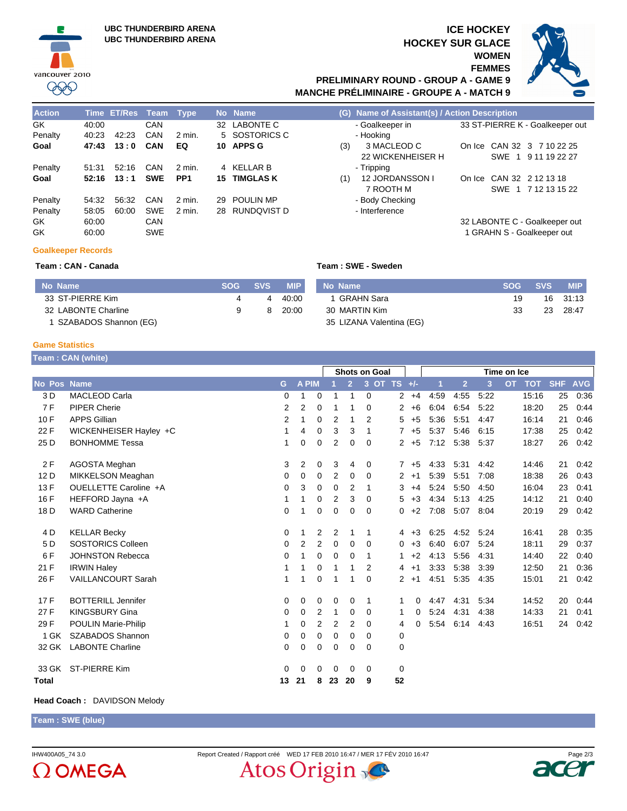

### **ICE HOCKEY HOCKEY SUR GLACE WOMEN FEMMES PRELIMINARY ROUND - GROUP A - GAME 9**



# **MANCHE PRÉLIMINAIRE - GROUPE A - MATCH 9**

| <b>Action</b> |       | Time ET/Res Team |            | Tvpe            |    | No Name          | (G) Name of Assistant(s) / Action Description         |
|---------------|-------|------------------|------------|-----------------|----|------------------|-------------------------------------------------------|
| GK.           | 40:00 |                  | CAN        |                 |    | 32 LABONTE C     | 33 ST-PIERRE K - Goalkeeper or<br>- Goalkeeper in     |
| Penalty       | 40.23 | 42.23            | CAN        | 2 min.          |    | 5 SOSTORICS C    | - Hooking                                             |
| Goal          | 47:43 | 13:0             | CAN        | EQ              |    | 10 APPS G        | 3 MACLEOD C<br>On Ice CAN 32 3 7 10 22 25<br>(3)      |
|               |       |                  |            |                 |    |                  | 22 WICKENHEISER H<br>9 11 19 22 27<br><b>SWE</b>      |
| Penalty       | 51:31 | 52:16            | CAN        | 2 min.          |    | 4 KELLAR B       | - Tripping                                            |
| Goal          | 52:16 | 13:1             | <b>SWE</b> | PP <sub>1</sub> | 15 | <b>TIMGLAS K</b> | CAN 32 2 12 13 18<br>12 JORDANSSON I<br>(1)<br>On Ice |
|               |       |                  |            |                 |    |                  | 7 ROOTH M<br>SWE 1 7 12 13 15 22                      |
| Penalty       | 54:32 | 56:32            | CAN        | $2$ min.        | 29 | <b>POULIN MP</b> | - Body Checking                                       |
| Penalty       | 58:05 | 60:00            | <b>SWE</b> | 2 min.          |    | 28 RUNDQVIST D   | - Interference                                        |
| GK.           | 60:00 |                  | CAN        |                 |    |                  | 32 LABONTE C - Goalkeeper out                         |
| GK            | 60:00 |                  | <b>SWE</b> |                 |    |                  | 1 GRAHN S - Goalkeeper out                            |

| <b>Action</b> |       | lime El/Res Team |            | l vpe           |    | No Name             |     | (G) Name of Assistant(s) / Action Description |  |                                 |  |
|---------------|-------|------------------|------------|-----------------|----|---------------------|-----|-----------------------------------------------|--|---------------------------------|--|
| GK            | 40:00 |                  | CAN        |                 |    | 32 LABONTE C        |     | - Goalkeeper in                               |  | 33 ST-PIERRE K - Goalkeeper out |  |
| Penalty       | 40.23 | 42:23            | CAN        | 2 min.          |    | 5 SOSTORICS C       |     | - Hooking                                     |  |                                 |  |
| Goal          | 47:43 | 13:0             | CAN        | EQ              |    | 10 APPS G           | (3) | 3 MACLEOD C                                   |  | On Ice CAN 32 3 7 10 22 25      |  |
|               |       |                  |            |                 |    |                     |     | 22 WICKENHEISER H                             |  | SWE 1 9 11 19 22 27             |  |
| Penalty       | 51:31 | 52:16            | CAN        | 2 min.          |    | 4 KELLAR B          |     | - Tripping                                    |  |                                 |  |
| Goal          | 52:16 | 13:1             | <b>SWE</b> | PP <sub>1</sub> |    | <b>15 TIMGLAS K</b> | (1) | 12 JORDANSSON I                               |  | On Ice CAN 32 2 12 13 18        |  |
|               |       |                  |            |                 |    |                     |     | 7 ROOTH M                                     |  | SWE 1 7 12 13 15 22             |  |
| Penalty       | 54:32 | 56:32            | CAN        | 2 min.          | 29 | <b>POULIN MP</b>    |     | - Body Checking                               |  |                                 |  |
| Penalty       | 58:05 | 60:00            | <b>SWE</b> | 2 min.          |    | 28 RUNDQVIST D      |     | - Interference                                |  |                                 |  |
| GK            | 60:00 |                  | <b>CAN</b> |                 |    |                     |     |                                               |  | 32 LABONTE C - Goalkeeper out   |  |
| GK            | 60:00 |                  | <b>SWE</b> |                 |    |                     |     |                                               |  | 1 GRAHN S - Goalkeeper out      |  |
|               |       |                  |            |                 |    |                     |     |                                               |  |                                 |  |

#### **Goalkeeper Records**

**Team : CAN - Canada Team : SWE - Sweden**

| No Name                 | <b>SOG</b> | $\sim$ SVS $\searrow$ | <b>MIP</b> | No Name                  | <b>SOG</b> | <b>SVS</b> | <b>MIP</b> |
|-------------------------|------------|-----------------------|------------|--------------------------|------------|------------|------------|
| 33 ST-PIERRE Kim        |            | 4                     | 40:00      | I  GRAHN Sara            | 19         |            | 16 31:13   |
| 32 LABONTE Charline     |            | 8                     | 20:00      | 30 MARTIN Kim            | 33         | 23         | 28:47      |
| 1 SZABADOS Shannon (EG) |            |                       |            | 35 LIZANA Valentina (EG) |            |            |            |

#### **Game Statistics**

**Team : CAN (white)**

|                    |                            |                |                |                | <b>Shots on Goal</b> |                |             |                | Time on Ice |      |                |      |           |            |            |            |
|--------------------|----------------------------|----------------|----------------|----------------|----------------------|----------------|-------------|----------------|-------------|------|----------------|------|-----------|------------|------------|------------|
| <b>No Pos Name</b> |                            | G              | A PIM          |                |                      | $\overline{2}$ |             | 3 OT TS +/-    |             | 1    | $\overline{2}$ | 3    | <b>OT</b> | <b>TOT</b> | <b>SHF</b> | <b>AVG</b> |
| 3 D                | <b>MACLEOD Carla</b>       | $\mathbf 0$    | 1              | 0              |                      | $\overline{1}$ | 0           | $\mathbf{2}$   | $+4$        | 4:59 | 4:55           | 5:22 |           | 15:16      | 25         | 0:36       |
| 7F                 | <b>PIPER Cherie</b>        | $\overline{2}$ | $\overline{2}$ | 0              |                      | 1              | 0           | $\overline{2}$ | $+6$        | 6:04 | 6:54           | 5:22 |           | 18:20      | 25         | 0:44       |
| 10F                | <b>APPS Gillian</b>        | 2              | 1              | 0              | 2                    | 1              | 2           | 5              | $+5$        | 5:36 | 5:51           | 4:47 |           | 16:14      | 21         | 0:46       |
| 22 F               | WICKENHEISER Hayley +C     | 1              | 4              | 0              | 3                    | 3              | $\mathbf 1$ | $\overline{7}$ | $+5$        | 5:37 | 5:46           | 6:15 |           | 17:38      | 25         | 0:42       |
| 25 D               | <b>BONHOMME Tessa</b>      | 1              | 0              | 0              | $\overline{2}$       | 0              | 0           | $\overline{2}$ | $+5$        | 7:12 | 5:38           | 5:37 |           | 18:27      | 26         | 0:42       |
| 2F                 | <b>AGOSTA Meghan</b>       | 3              | 2              | 0              | 3                    | 4              | 0           | $\overline{7}$ | $+5$        | 4:33 | 5:31           | 4:42 |           | 14:46      | 21         | 0:42       |
| 12 D               | MIKKELSON Meaghan          | $\Omega$       | 0              | 0              | 2                    | $\Omega$       | $\Omega$    | $\overline{2}$ | $+1$        | 5:39 | 5:51           | 7:08 |           | 18:38      | 26         | 0:43       |
| 13F                | OUELLETTE Caroline +A      | 0              | 3              | 0              | 0                    | 2              | 1           | 3              | $+4$        | 5:24 | 5:50           | 4:50 |           | 16:04      | 23         | 0.41       |
| 16 F               | HEFFORD Jayna +A           | 1              | 1              | 0              | 2                    | 3              | 0           | 5              | $+3$        | 4:34 | 5:13           | 4:25 |           | 14:12      | 21         | 0:40       |
| 18 D               | <b>WARD Catherine</b>      | $\Omega$       | 1              | 0              | $\mathbf 0$          | $\Omega$       | $\Omega$    | 0              | $+2$        | 7:08 | 5:07           | 8:04 |           | 20:19      | 29         | 0:42       |
| 4 D                | <b>KELLAR Becky</b>        | 0              | 1              | 2              | 2                    | 1              | 1           | 4              | $+3$        | 6:25 | 4:52           | 5:24 |           | 16:41      | 28         | 0:35       |
| 5 D                | <b>SOSTORICS Colleen</b>   | $\mathbf 0$    | 2              | $\overline{2}$ | $\mathbf 0$          | 0              | $\Omega$    | 0              | $+3$        | 6:40 | 6:07           | 5:24 |           | 18:11      | 29         | 0:37       |
| 6F                 | <b>JOHNSTON Rebecca</b>    | 0              | 1              | 0              | 0                    | 0              | 1           | 1.             | $+2$        | 4:13 | 5:56           | 4:31 |           | 14:40      | 22         | 0:40       |
| 21 F               | <b>IRWIN Haley</b>         | 1              | 1              | 0              | 1                    |                | 2           | 4              | $+1$        | 3:33 | 5:38           | 3:39 |           | 12:50      | 21         | 0:36       |
| 26 F               | <b>VAILLANCOURT Sarah</b>  | 1              | 1              | 0              | 1                    | 1              | $\Omega$    | $\overline{2}$ | $+1$        | 4:51 | 5:35           | 4:35 |           | 15:01      | 21         | 0:42       |
| 17F                | <b>BOTTERILL Jennifer</b>  | 0              | 0              | 0              | 0                    | 0              | $\mathbf 1$ | 1              | 0           | 4:47 | 4:31           | 5:34 |           | 14:52      | 20         | 0:44       |
| 27 F               | <b>KINGSBURY Gina</b>      | 0              | 0              | 2              | 1                    | 0              | 0           | 1              | 0           | 5:24 | 4:31           | 4:38 |           | 14:33      | 21         | 0.41       |
| 29 F               | <b>POULIN Marie-Philip</b> | 1              | 0              | $\overline{2}$ | 2                    | 2              | 0           | 4              | 0           | 5:54 | 6:14           | 4:43 |           | 16:51      | 24         | 0:42       |
| 1 GK               | SZABADOS Shannon           | 0              | 0              | 0              | 0                    | 0              | 0           | 0              |             |      |                |      |           |            |            |            |
| 32 GK              | <b>LABONTE Charline</b>    | 0              | 0              | 0              | 0                    | 0              | 0           | 0              |             |      |                |      |           |            |            |            |
| 33 GK              | ST-PIERRE Kim              | $\Omega$       | $\Omega$       | 0              | $\Omega$             | $\Omega$       | $\Omega$    | 0              |             |      |                |      |           |            |            |            |
| Total              |                            | 13             | 21             | 8              | 23                   | 20             | 9           | 52             |             |      |                |      |           |            |            |            |

#### **Head Coach :** DAVIDSON Melody

**Team : SWE (blue)**